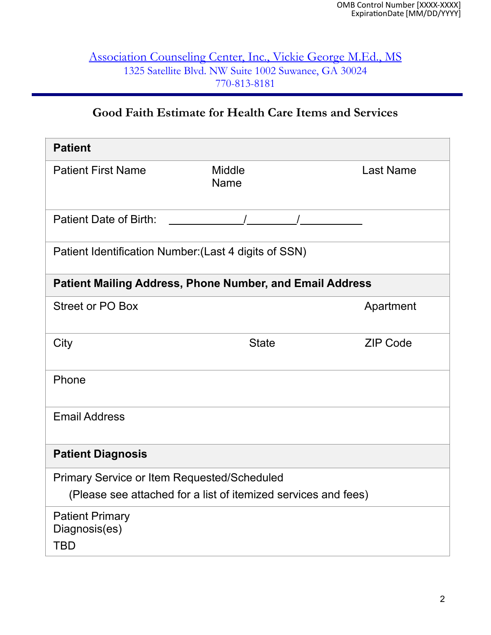#### Association Counseling Center, Inc., Vickie George M.Ed., MS 1325 Satellite Blvd. NW Suite 1002 Suwanee, GA 30024 770-813-8181

# **Good Faith Estimate for Health Care Items and Services**

| <b>Patient</b>                                                                                                       |                              |  |                  |
|----------------------------------------------------------------------------------------------------------------------|------------------------------|--|------------------|
| <b>Patient First Name</b>                                                                                            | <b>Middle</b><br><b>Name</b> |  | <b>Last Name</b> |
| <b>Patient Date of Birth:</b>                                                                                        |                              |  |                  |
| Patient Identification Number: (Last 4 digits of SSN)                                                                |                              |  |                  |
| <b>Patient Mailing Address, Phone Number, and Email Address</b>                                                      |                              |  |                  |
| <b>Street or PO Box</b>                                                                                              |                              |  | Apartment        |
| City                                                                                                                 | <b>State</b>                 |  | <b>ZIP Code</b>  |
| Phone                                                                                                                |                              |  |                  |
| <b>Email Address</b>                                                                                                 |                              |  |                  |
| <b>Patient Diagnosis</b>                                                                                             |                              |  |                  |
| <b>Primary Service or Item Requested/Scheduled</b><br>(Please see attached for a list of itemized services and fees) |                              |  |                  |
| <b>Patient Primary</b><br>Diagnosis(es)<br>TBD                                                                       |                              |  |                  |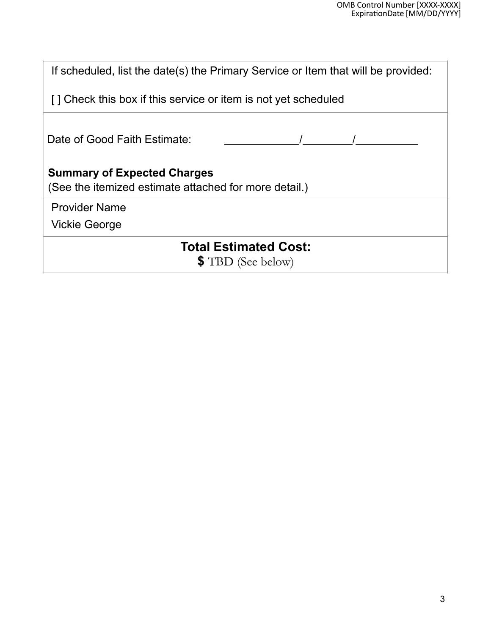| If scheduled, list the date(s) the Primary Service or Item that will be provided:           |  |  |  |
|---------------------------------------------------------------------------------------------|--|--|--|
| [] Check this box if this service or item is not yet scheduled                              |  |  |  |
| Date of Good Faith Estimate:                                                                |  |  |  |
| <b>Summary of Expected Charges</b><br>(See the itemized estimate attached for more detail.) |  |  |  |
| <b>Provider Name</b>                                                                        |  |  |  |
| <b>Vickie George</b>                                                                        |  |  |  |
| <b>Total Estimated Cost:</b><br><b>\$</b> TBD (See below)                                   |  |  |  |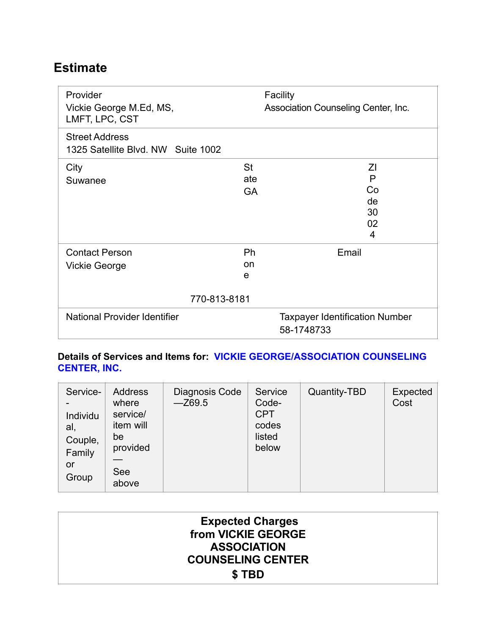# **Estimate**

| Provider<br>Vickie George M.Ed, MS,<br>LMFT, LPC, CST       |                               | Facility<br>Association Counseling Center, Inc. |  |
|-------------------------------------------------------------|-------------------------------|-------------------------------------------------|--|
| <b>Street Address</b><br>1325 Satellite Blvd. NW Suite 1002 |                               |                                                 |  |
| City<br>Suwanee                                             | <b>St</b><br>ate<br><b>GA</b> | ΖI<br>P<br>Co<br>de<br>30<br>02<br>4            |  |
| <b>Contact Person</b><br>Vickie George                      | Ph<br>on<br>e<br>770-813-8181 | Email                                           |  |
| <b>National Provider Identifier</b><br>58-1748733           |                               | <b>Taxpayer Identification Number</b>           |  |

#### **Details of Services and Items for: VICKIE GEORGE/ASSOCIATION COUNSELING CENTER, INC.**

| Service-<br>Individu<br>al,<br>Couple,<br>Family<br>or<br>Group | <b>Address</b><br>where<br>service/<br>item will<br>be<br>provided<br><b>See</b><br>above | Diagnosis Code<br>$-Z69.5$ | Service<br>Code-<br><b>CPT</b><br>codes<br>listed<br>below | Quantity-TBD | Expected<br>Cost |
|-----------------------------------------------------------------|-------------------------------------------------------------------------------------------|----------------------------|------------------------------------------------------------|--------------|------------------|
|-----------------------------------------------------------------|-------------------------------------------------------------------------------------------|----------------------------|------------------------------------------------------------|--------------|------------------|

| from VICKIE GEORGE       |
|--------------------------|
| <b>ASSOCIATION</b>       |
| <b>COUNSELING CENTER</b> |
|                          |
|                          |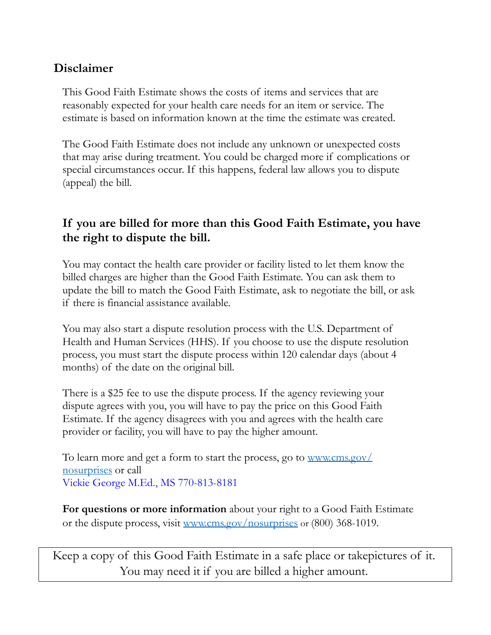## **Disclaimer**

This Good Faith Estimate shows the costs of items and services that are reasonably expected for your health care needs for an item or service. The estimate is based on information known at the time the estimate was created.

The Good Faith Estimate does not include any unknown or unexpected costs that may arise during treatment. You could be charged more if complications or special circumstances occur. If this happens, federal law allows you to dispute (appeal) the bill.

## **If you are billed for more than this Good Faith Estimate, you have the right to dispute the bill.**

You may contact the health care provider or facility listed to let them know the billed charges are higher than the Good Faith Estimate. You can ask them to update the bill to match the Good Faith Estimate, ask to negotiate the bill, or ask if there is financial assistance available.

You may also start a dispute resolution process with the U.S. Department of Health and Human Services (HHS). If you choose to use the dispute resolution process, you must start the dispute process within 120 calendar days (about 4 months) of the date on the original bill.

There is a \$25 fee to use the dispute process. If the agency reviewing your dispute agrees with you, you will have to pay the price on this Good Faith Estimate. If the agency disagrees with you and agrees with the health care provider or facility, you will have to pay the higher amount.

To learn more and get a form to start the process, go to [www.cms.gov/](http://www.cms.gov/nosurprises) [nosurprises](http://www.cms.gov/nosurprises) or call Vickie George M.Ed., MS 770-813-8181

**For questions or more information** about your right to a Good Faith Estimate or the dispute process, visit [www.cms.gov/nosurprises](http://www.cms.gov/nosurprises) or (800) 368-1019.

Keep a copy of this Good Faith Estimate in a safe place or takepictures of it. You may need it if you are billed a higher amount.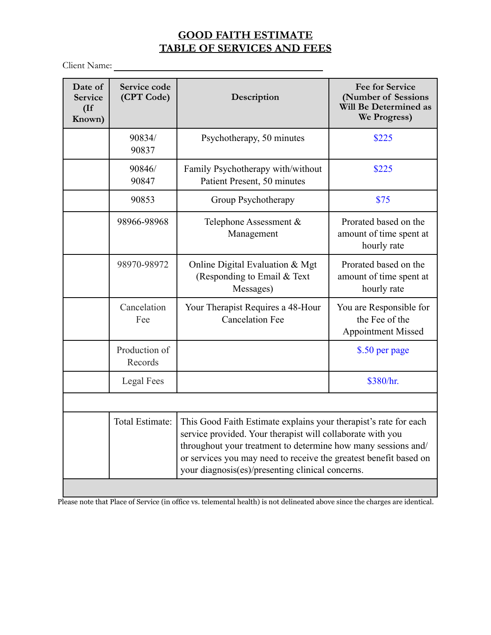### **GOOD FAITH ESTIMATE TABLE OF SERVICES AND FEES**

Client Name:

| Date of<br>Service<br>$($ If<br>Known) | Service code<br>(CPT Code) | Description                                                                                                                                                                                                                                                                                                              | <b>Fee for Service</b><br>(Number of Sessions<br>Will Be Determined as<br>We Progress) |
|----------------------------------------|----------------------------|--------------------------------------------------------------------------------------------------------------------------------------------------------------------------------------------------------------------------------------------------------------------------------------------------------------------------|----------------------------------------------------------------------------------------|
|                                        | 90834/<br>90837            | Psychotherapy, 50 minutes                                                                                                                                                                                                                                                                                                | \$225                                                                                  |
|                                        | 90846/<br>90847            | Family Psychotherapy with/without<br>Patient Present, 50 minutes                                                                                                                                                                                                                                                         | \$225                                                                                  |
|                                        | 90853                      | Group Psychotherapy                                                                                                                                                                                                                                                                                                      | \$75                                                                                   |
|                                        | 98966-98968                | Telephone Assessment &<br>Management                                                                                                                                                                                                                                                                                     | Prorated based on the<br>amount of time spent at<br>hourly rate                        |
|                                        | 98970-98972                | Online Digital Evaluation & Mgt<br>(Responding to Email & Text<br>Messages)                                                                                                                                                                                                                                              | Prorated based on the<br>amount of time spent at<br>hourly rate                        |
|                                        | Cancelation<br>Fee         | Your Therapist Requires a 48-Hour<br><b>Cancelation Fee</b>                                                                                                                                                                                                                                                              | You are Responsible for<br>the Fee of the<br><b>Appointment Missed</b>                 |
|                                        | Production of<br>Records   |                                                                                                                                                                                                                                                                                                                          | \$.50 per page                                                                         |
|                                        | Legal Fees                 |                                                                                                                                                                                                                                                                                                                          | \$380/hr.                                                                              |
|                                        |                            |                                                                                                                                                                                                                                                                                                                          |                                                                                        |
|                                        | Total Estimate:            | This Good Faith Estimate explains your therapist's rate for each<br>service provided. Your therapist will collaborate with you<br>throughout your treatment to determine how many sessions and/<br>or services you may need to receive the greatest benefit based on<br>your diagnosis(es)/presenting clinical concerns. |                                                                                        |

Please note that Place of Service (in office vs. telemental health) is not delineated above since the charges are identical.